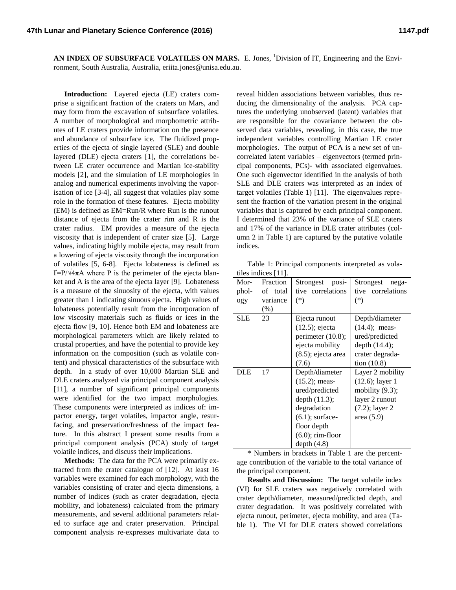AN INDEX OF SUBSURFACE VOLATILES ON MARS. E. Jones, <sup>1</sup>Division of IT, Engineering and the Environment, South Australia, Australia, eriita.jones@unisa.edu.au.

**Introduction:** Layered ejecta (LE) craters comprise a significant fraction of the craters on Mars, and may form from the excavation of subsurface volatiles. A number of morphological and morphometric attributes of LE craters provide information on the presence and abundance of subsurface ice. The fluidized properties of the ejecta of single layered (SLE) and double layered (DLE) ejecta craters [1], the correlations between LE crater occurrence and Martian ice-stability models [2], and the simulation of LE morphologies in analog and numerical experiments involving the vaporisation of ice [3-4], all suggest that volatiles play some role in the formation of these features. Ejecta mobility (EM) is defined as EM=Run/R where Run is the runout distance of ejecta from the crater rim and R is the crater radius. EM provides a measure of the ejecta viscosity that is independent of crater size [5]. Large values, indicating highly mobile ejecta, may result from a lowering of ejecta viscosity through the incorporation of volatiles [5, 6-8]. Ejecta lobateness is defined as Ґ=P/√4πA where P is the perimeter of the ejecta blanket and A is the area of the ejecta layer [9]. Lobateness is a measure of the sinuosity of the ejecta, with values greater than 1 indicating sinuous ejecta. High values of lobateness potentially result from the incorporation of low viscosity materials such as fluids or ices in the ejecta flow [9, 10]. Hence both EM and lobateness are morphological parameters which are likely related to crustal properties, and have the potential to provide key information on the composition (such as volatile content) and physical characteristics of the subsurface with depth. In a study of over 10,000 Martian SLE and DLE craters analyzed via principal component analysis [11], a number of significant principal components were identified for the two impact morphologies. These components were interpreted as indices of: impactor energy, target volatiles, impactor angle, resurfacing, and preservation/freshness of the impact feature. In this abstract I present some results from a principal component analysis (PCA) study of target volatile indices, and discuss their implications.

**Methods:** The data for the PCA were primarily extracted from the crater catalogue of [12]. At least 16 variables were examined for each morphology, with the variables consisting of crater and ejecta dimensions, a number of indices (such as crater degradation, ejecta mobility, and lobateness) calculated from the primary measurements, and several additional parameters related to surface age and crater preservation. Principal component analysis re-expresses multivariate data to

reveal hidden associations between variables, thus reducing the dimensionality of the analysis. PCA captures the underlying unobserved (latent) variables that are responsible for the covariance between the observed data variables, revealing, in this case, the true independent variables controlling Martian LE crater morphologies. The output of PCA is a new set of uncorrelated latent variables – eigenvectors (termed principal components, PCs)- with associated eigenvalues. One such eigenvector identified in the analysis of both SLE and DLE craters was interpreted as an index of target volatiles (Table 1) [11]. The eigenvalues represent the fraction of the variation present in the original variables that is captured by each principal component. I determined that 23% of the variance of SLE craters and 17% of the variance in DLE crater attributes (column 2 in Table 1) are captured by the putative volatile indices.

Table 1: Principal components interpreted as volatiles indices [11].

| Mor-       | Fraction | Strongest<br>posi-    | Strongest<br>nega- |
|------------|----------|-----------------------|--------------------|
| phol-      | of total | tive correlations     | tive correlations  |
| ogy        | variance | $(*)$                 | $(*)$              |
|            | $(\%)$   |                       |                    |
| <b>SLE</b> | 23       | Ejecta runout         | Depth/diameter     |
|            |          | $(12.5)$ ; ejecta     | $(14.4)$ ; meas-   |
|            |          | perimeter $(10.8)$ ;  | ured/predicted     |
|            |          | ejecta mobility       | depth $(14.4)$ ;   |
|            |          | $(8.5)$ ; ejecta area | crater degrada-    |
|            |          | (7.6)                 | tion $(10.8)$      |
| DLE        | 17       | Depth/diameter        | Layer 2 mobility   |
|            |          | $(15.2)$ ; meas-      | $(12.6)$ ; layer 1 |
|            |          | ured/predicted        | mobility $(9.3)$ ; |
|            |          | depth (11.3);         | layer 2 runout     |
|            |          | degradation           | $(7.2)$ ; layer 2  |
|            |          | $(6.1)$ ; surface-    | area $(5.9)$       |
|            |          | floor depth           |                    |
|            |          | $(6.0)$ ; rim-floor   |                    |
|            |          | depth $(4.8)$         |                    |

\* Numbers in brackets in Table 1 are the percentage contribution of the variable to the total variance of the principal component.

**Results and Discussion:** The target volatile index (VI) for SLE craters was negatively correlated with crater depth/diameter, measured/predicted depth, and crater degradation. It was positively correlated with ejecta runout, perimeter, ejecta mobility, and area (Table 1). The VI for DLE craters showed correlations